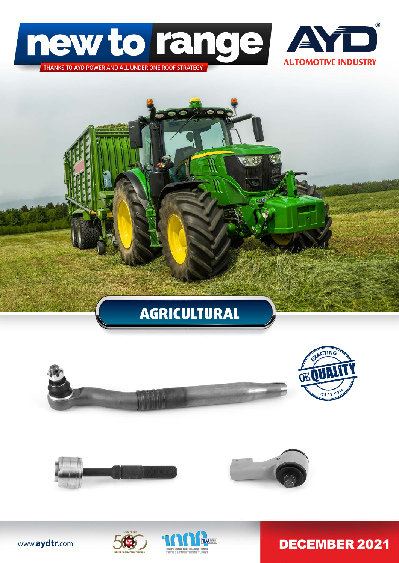













DECEMBER 2021

www.**aydtr**.com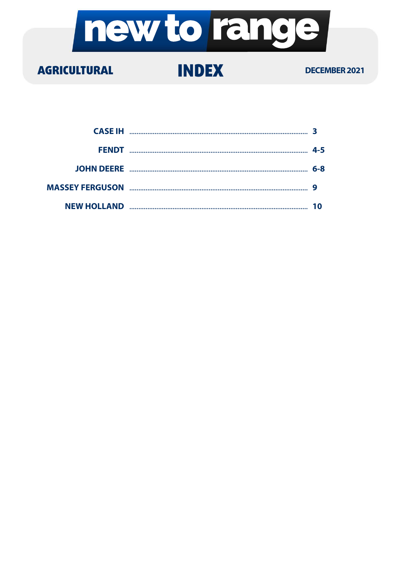

#### **AGRICULTURAL**

#### **INDEX**

#### **DECEMBER 2021**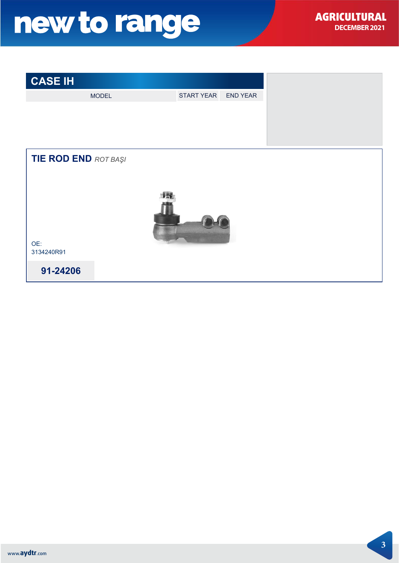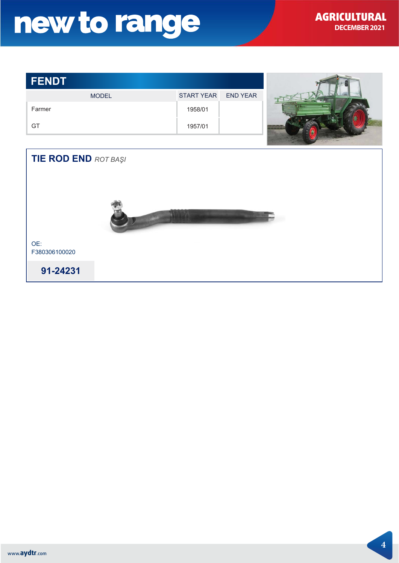| <b>FENDT</b>                |                   |                 |  |
|-----------------------------|-------------------|-----------------|--|
| <b>MODEL</b>                | <b>START YEAR</b> | <b>END YEAR</b> |  |
| Farmer                      | 1958/01           |                 |  |
| GT                          | 1957/01           |                 |  |
|                             |                   |                 |  |
| <b>TIE ROD END ROT BAŞI</b> |                   |                 |  |
|                             |                   |                 |  |
|                             |                   |                 |  |



OE: F380306100020

91-24231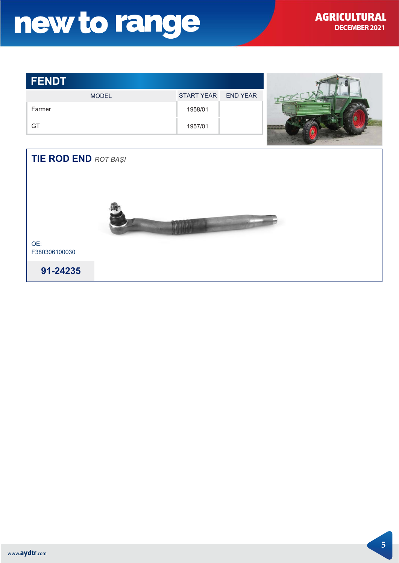| <b>FENDT</b>                |                   |                 |  |
|-----------------------------|-------------------|-----------------|--|
| <b>MODEL</b>                | <b>START YEAR</b> | <b>END YEAR</b> |  |
| Farmer                      | 1958/01           |                 |  |
| GT                          | 1957/01           |                 |  |
|                             |                   |                 |  |
| <b>TIE ROD END ROT BAŞI</b> |                   |                 |  |
|                             |                   |                 |  |
|                             |                   |                 |  |
|                             |                   |                 |  |
|                             |                   |                 |  |
|                             |                   |                 |  |
| OE:<br>F380306100030        |                   |                 |  |

91-24235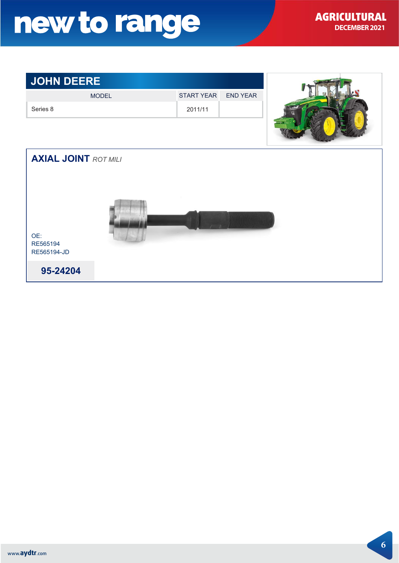#### Series 8 2011/11 **JOHN DEERE** OE: RE565194 RE565194-JD MODEL START YEAR END YEAR **95-24204 AXIAL JOINT ROT MILI**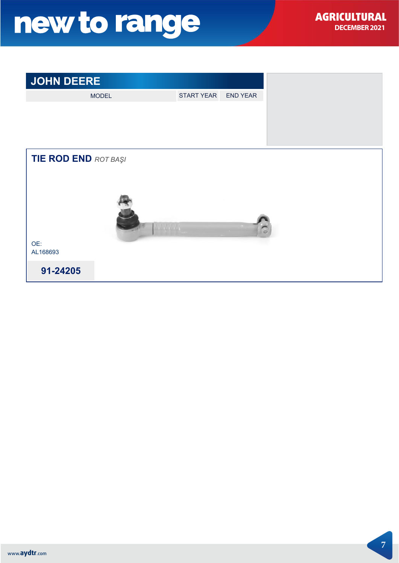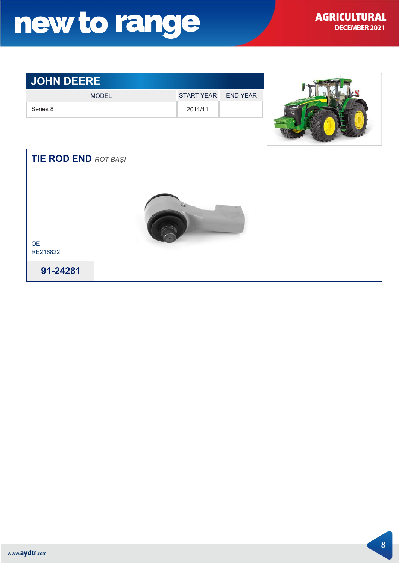#### **JOHN DEERE**

| <b>JOHN DEERE</b>           |              |                   |                 |  |
|-----------------------------|--------------|-------------------|-----------------|--|
|                             | <b>MODEL</b> | <b>START YEAR</b> | <b>END YEAR</b> |  |
| Series 8                    |              | 2011/11           |                 |  |
|                             |              |                   |                 |  |
| <b>TIE ROD END ROT BAŞI</b> |              |                   |                 |  |
|                             |              |                   |                 |  |
| OE:<br>RE216822             |              |                   |                 |  |
| 91-24281                    |              |                   |                 |  |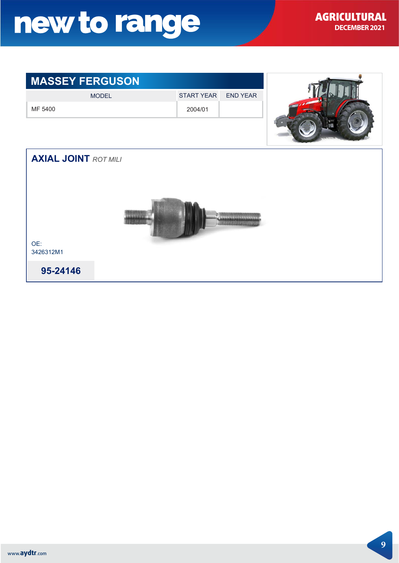#### **MASSEY FERGUSON** MODEL START YEAR END YEAR MF 5400 2004/01 **AXIAL JOINT ROT MILI** OE: 3426312M1 **95-24146**